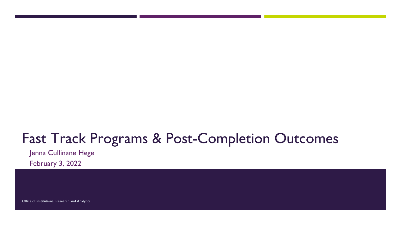# Fast Track Programs & Post-Completion Outcomes

Jenna Cullinane Hege

February 3, 2022

Office of Institutional Research and Analytics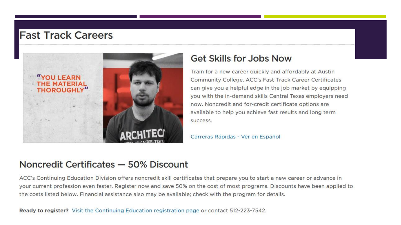#### **Fast Track Careers**



#### **Get Skills for Jobs Now**

Train for a new career quickly and affordably at Austin Community College. ACC's Fast Track Career Certificates can give you a helpful edge in the job market by equipping you with the in-demand skills Central Texas employers need now. Noncredit and for-credit certificate options are available to help you achieve fast results and long term success.

Carreras Rápidas - Ver en Español

#### Noncredit Certificates - 50% Discount

ACC's Continuing Education Division offers noncredit skill certificates that prepare you to start a new career or advance in your current profession even faster. Register now and save 50% on the cost of most programs. Discounts have been applied to the costs listed below. Financial assistance also may be available; check with the program for details.

Ready to register? Visit the Continuing Education registration page or contact 512-223-7542.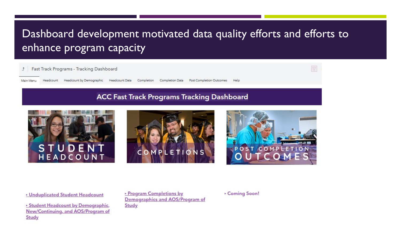# Dashboard development motivated data quality efforts and efforts to enhance program capacity

Fast Track Programs - Tracking Dashboard  $\downarrow$ 

Headcount by Demographic Headcount Data Completion Main Menu Headcount Completion Data **Post Completion Outcomes** Help

#### **ACC Fast Track Programs Tracking Dashboard**







▶ Unduplicated Student Headcount

New/Continuing, and AOS/Program of Study

▶ Program Completions by Demographics and AOS/Program of Study

▶ Coming Soon!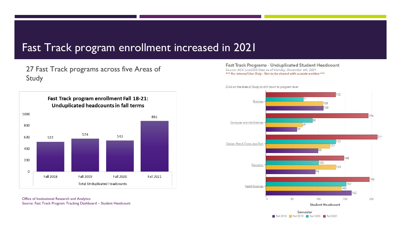#### Fast Track program enrollment increased in 2021

27 Fast Track programs across five Areas of Study



Office of Institutional Research and Analytics Source: Fast Track Program Tracking Dashboard – Student Headcount Fast Track Programs - Unduplicated Student Headcount Source: ACC LiveODS Data as of Monday, December 6th, 2021 \*\*\* For Internal Use Only - Not to be shared with outside entities \*\*\*



Semester **T** Fall 2018 **T** Fall 2019 **T** Fall 2020 **T** Fall 2021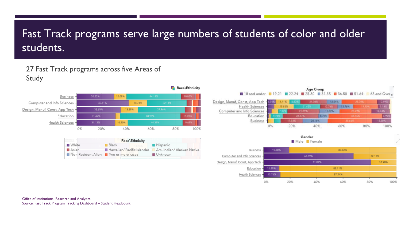# Fast Track programs serve large numbers of students of color and older students.

#### 27 Fast Track programs across five Areas of Study



| 911099                               | Race\Ethnicity |                                                     |
|--------------------------------------|----------------|-----------------------------------------------------|
| <b>N</b> White                       | <b>Black</b>   | <b>I</b> Hispanic                                   |
| Asian                                |                | Hawaiian/Pacific Islander Am. Indian/Alaskan Native |
| Non-Resident Alien Two or more races |                | ■ Unknown                                           |
|                                      |                |                                                     |

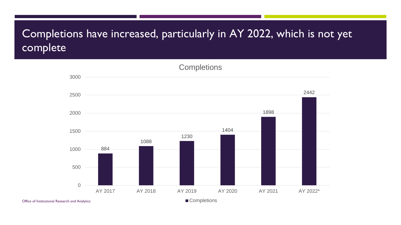# Completions have increased, particularly in AY 2022, which is not yet complete



Office of Institutional Research and Analytics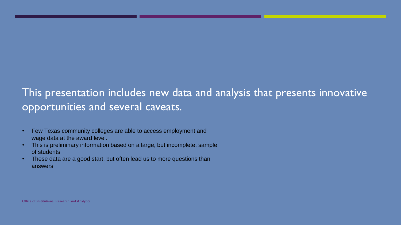## This presentation includes new data and analysis that presents innovative opportunities and several caveats.

- Few Texas community colleges are able to access employment and wage data at the award level.
- This is preliminary information based on a large, but incomplete, sample of students
- These data are a good start, but often lead us to more questions than answers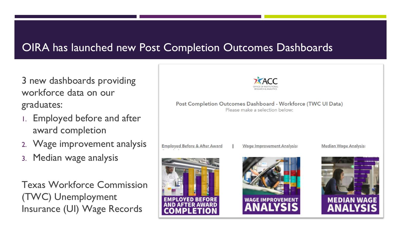## OIRA has launched new Post Completion Outcomes Dashboards

3 new dashboards providing workforce data on our graduates:

- 1. Employed before and after award completion
- 2. Wage improvement analysis
- 3. Median wage analysis

Texas Workforce Commission (TWC) Unemployment Insurance (UI) Wage Records



```
Post Completion Outcomes Dashboard - Workforce (TWC UI Data)
       Please make a selection below:
```


**Employed Before & After Award** 



**Wage Improvement Analysis:** 

**Median Wage Analysis:** 

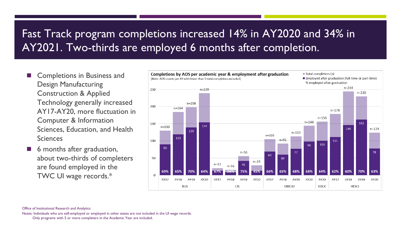# Fast Track program completions increased 14% in AY2020 and 34% in AY2021. Two-thirds are employed 6 months after completion.

- Completions in Business and Design Manufacturing Construction & Applied Technology generally increased AY17-AY20, more fluctuation in Computer & Information Sciences, Education, and Health Sciences
- 6 months after graduation, about two-thirds of completers are found employed in the TWC UI wage records.\*



Notes: Individuals who are self-employed or employed in other states are not included in the UI wage records.

Office of Institutional Research and Analytics

Only programs with 5 or more completers in the Academic Year are included.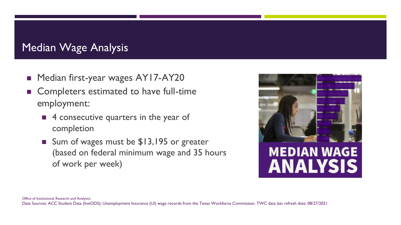# Median Wage Analysis

- Median first-year wages AY17-AY20
- Completers estimated to have full-time employment:
	- 4 consecutive quarters in the year of completion
	- Sum of wages must be \$13,195 or greater (based on federal minimum wage and 35 hours of work per week)

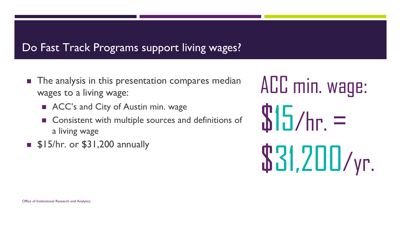#### Do Fast Track Programs support living wages?

- The analysis in this presentation compares median wages to a living wage:
	- ACC's and City of Austin min. wage
	- Consistent with multiple sources and definitions of a living wage
- \$15/hr. or \$31,200 annually

ACC min. wage:  $$15/hr. =$ \$31,200/yr.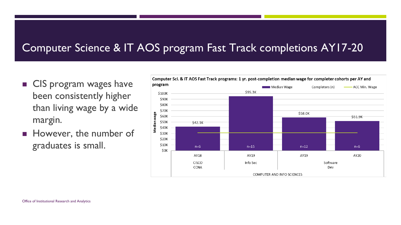### Computer Science & IT AOS program Fast Track completions AY17-20

- CIS program wages have been consistently higher than living wage by a wide margin.
- However, the number of graduates is small.

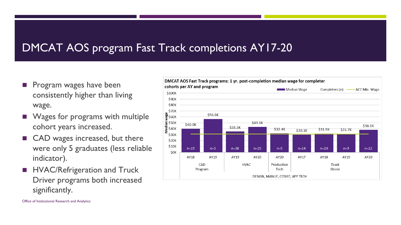## DMCAT AOS program Fast Track completions AY17-20

- Program wages have been consistently higher than living wage.
- Wages for programs with multiple cohort years increased.
- CAD wages increased, but there were only 5 graduates (less reliable indicator).
- HVAC/Refrigeration and Truck Driver programs both increased significantly.

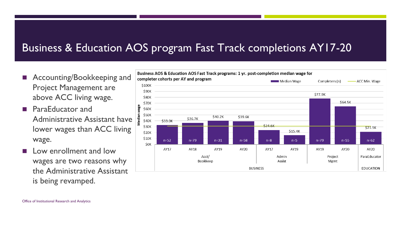# Business & Education AOS program Fast Track completions AY17-20

- Accounting/Bookkeeping and Project Management are above ACC living wage.
- ParaEducator and Administrative Assistant have lower wages than ACC living wage.
- Low enrollment and low wages are two reasons why the Administrative Assistant is being revamped.

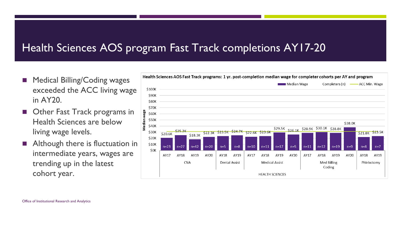### Health Sciences AOS program Fast Track completions AY17-20

- Medical Billing/Coding wages exceeded the ACC living wage in AY20.
- Other Fast Track programs in Health Sciences are below living wage levels.
- Although there is fluctuation in intermediate years, wages are trending up in the latest cohort year.

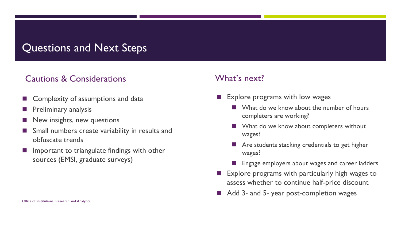#### Questions and Next Steps

#### Cautions & Considerations What's next?

- Complexity of assumptions and data
- Preliminary analysis
- New insights, new questions
- Small numbers create variability in results and obfuscate trends
- Important to triangulate findings with other sources (EMSI, graduate surveys)

- Explore programs with low wages
	- What do we know about the number of hours completers are working?
	- What do we know about completers without wages?
	- Are students stacking credentials to get higher wages?
	- **Engage employers about wages and career ladders**
- **Explore programs with particularly high wages to** assess whether to continue half-price discount
- Add 3- and 5- year post-completion wages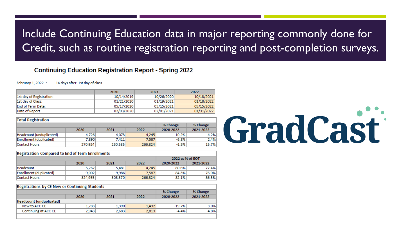# Include Continuing Education data in major reporting commonly done for Credit, such as routine registration reporting and post-completion surveys.

#### **Continuing Education Registration Report - Spring 2022**

February 1, 2022 : 14 days after 1st day of class

|                          | 2020       | 2021       | 2022       |  |
|--------------------------|------------|------------|------------|--|
| 1st day of Registration: | 10/14/2019 | 10/26/2020 | 10/18/2021 |  |
| 1st day of Class:        | 01/21/2020 | 01/19/2021 | 01/18/2022 |  |
| End of Term Date:        | 05/17/2020 | 05/15/2021 | 05/15/2022 |  |
| lDate of Report          | 02/03/2020 | 02/01/2021 | 01/31/2022 |  |

| <b>Total Registration</b> |         |         |         |           |           |
|---------------------------|---------|---------|---------|-----------|-----------|
|                           |         |         |         | % Change  | % Change  |
|                           | 2020    | 2021    | 2022    | 2020-2022 | 2021-2022 |
| Headcount (unduplicated)  | 4.726   | 4.073   | 4.245   | $-10.2%$  | 4.2%      |
| Enrollment (duplicated)   | 7.890   | 7.411   | 7.587   | $-3.8%$   | 2.4%      |
| <b>Contact Hours</b>      | 270,924 | 230,585 | 266,824 | $-1.5%$   | 15.7%     |

# GradCast

#### **Registration Compared to End of Term Enrollments**

|                         |         |         |         | 2022 as % of EOT |           |  |
|-------------------------|---------|---------|---------|------------------|-----------|--|
|                         | 2020    | 2021    | 2022    | 2020-2022        | 2021-2022 |  |
| l Headcount             | 5.267   | 5.481   | 4.245   | 80.6%            | 77.4%     |  |
| Enrollment (duplicated) | 9,002   | 9.986   | 7.587   | 84.3%            | 76.0%     |  |
| <b>Contact Hours</b>    | 324,955 | 308,370 | 266,824 | 82.1%            | 86.5%     |  |

#### **Registrations by CE New or Continuing Students**

|                          |       |       |       | % Change  | % Change  |
|--------------------------|-------|-------|-------|-----------|-----------|
|                          | 2020  | 2021  | 2022  | 2020-2022 | 2021-2022 |
| Headcount (unduplicated) |       |       |       |           |           |
| New to ACC CE            | 1.783 | 1.390 | 1,432 | $-19.7%$  | 3.0%      |
| Continuing at ACC CE     | 2.943 | 2,683 | 2,813 | $-4.4%$   | 4.8%      |
|                          |       |       |       |           |           |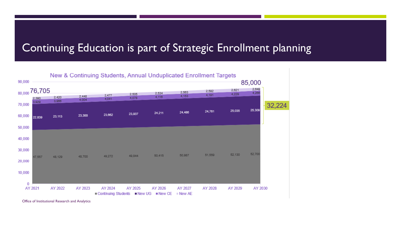#### Continuing Education is part of Strategic Enrollment planning



Office of Institutional Research and Analytics